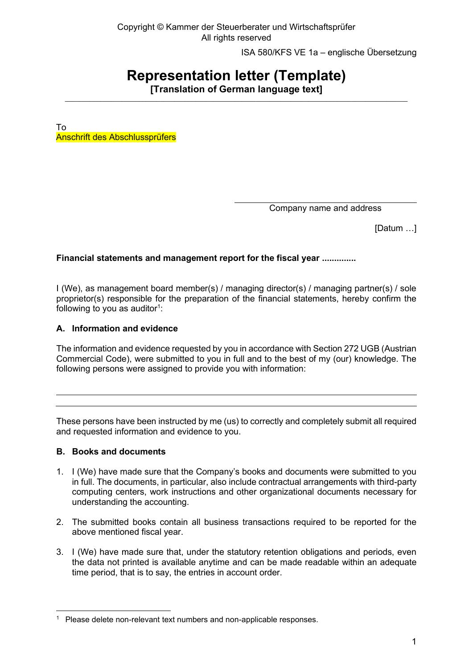Copyright © Kammer der Steuerberater und Wirtschaftsprüfer All rights reserved

ISA 580/KFS VE 1a – englische Übersetzung

# **Representation letter (Template)**

**[Translation of German language text]**  $\_$  ,  $\_$  ,  $\_$  ,  $\_$  ,  $\_$  ,  $\_$  ,  $\_$  ,  $\_$  ,  $\_$  ,  $\_$  ,  $\_$  ,  $\_$  ,  $\_$  ,  $\_$  ,  $\_$  ,  $\_$  ,  $\_$  ,  $\_$  ,  $\_$  ,  $\_$  ,  $\_$  ,  $\_$  ,  $\_$  ,  $\_$  ,  $\_$  ,  $\_$  ,  $\_$  ,  $\_$  ,  $\_$  ,  $\_$  ,  $\_$  ,  $\_$  ,  $\_$  ,  $\_$  ,  $\_$  ,  $\_$  ,  $\_$  ,

To Anschrift des Abschlussprüfers

Company name and address

[Datum …]

**Financial statements and management report for the fiscal year ..............**

I (We), as management board member(s) / managing director(s) / managing partner(s) / sole proprietor(s) responsible for the preparation of the financial statements, hereby confirm the following to you as auditor $^{\rm 1}$ :

## **A. Information and evidence**

The information and evidence requested by you in accordance with Section 272 UGB (Austrian Commercial Code), were submitted to you in full and to the best of my (our) knowledge. The following persons were assigned to provide you with information:

These persons have been instructed by me (us) to correctly and completely submit all required and requested information and evidence to you.

#### **B. Books and documents**

- 1. I (We) have made sure that the Company's books and documents were submitted to you in full. The documents, in particular, also include contractual arrangements with third-party computing centers, work instructions and other organizational documents necessary for understanding the accounting.
- 2. The submitted books contain all business transactions required to be reported for the above mentioned fiscal year.
- 3. I (We) have made sure that, under the statutory retention obligations and periods, even the data not printed is available anytime and can be made readable within an adequate time period, that is to say, the entries in account order.

<sup>&</sup>lt;sup>1</sup> Please delete non-relevant text numbers and non-applicable responses.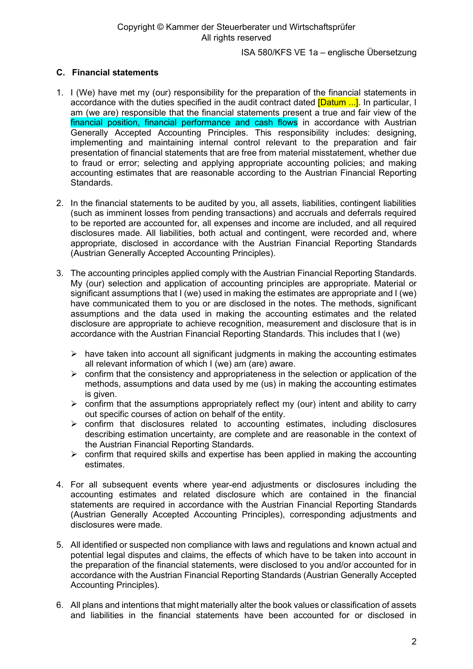# **C. Financial statements**

- 1. I (We) have met my (our) responsibility for the preparation of the financial statements in accordance with the duties specified in the audit contract dated **[Datum ...]**. In particular, I am (we are) responsible that the financial statements present a true and fair view of the financial position, financial performance and cash flows in accordance with Austrian Generally Accepted Accounting Principles. This responsibility includes: designing, implementing and maintaining internal control relevant to the preparation and fair presentation of financial statements that are free from material misstatement, whether due to fraud or error; selecting and applying appropriate accounting policies; and making accounting estimates that are reasonable according to the Austrian Financial Reporting Standards.
- 2. In the financial statements to be audited by you, all assets, liabilities, contingent liabilities (such as imminent losses from pending transactions) and accruals and deferrals required to be reported are accounted for, all expenses and income are included, and all required disclosures made. All liabilities, both actual and contingent, were recorded and, where appropriate, disclosed in accordance with the Austrian Financial Reporting Standards (Austrian Generally Accepted Accounting Principles).
- 3. The accounting principles applied comply with the Austrian Financial Reporting Standards. My (our) selection and application of accounting principles are appropriate. Material or significant assumptions that I (we) used in making the estimates are appropriate and I (we) have communicated them to you or are disclosed in the notes. The methods, significant assumptions and the data used in making the accounting estimates and the related disclosure are appropriate to achieve recognition, measurement and disclosure that is in accordance with the Austrian Financial Reporting Standards. This includes that I (we)
	- $\triangleright$  have taken into account all significant judgments in making the accounting estimates all relevant information of which I (we) am (are) aware.
	- $\triangleright$  confirm that the consistency and appropriateness in the selection or application of the methods, assumptions and data used by me (us) in making the accounting estimates is given.
	- $\triangleright$  confirm that the assumptions appropriately reflect my (our) intent and ability to carry out specific courses of action on behalf of the entity.
	- ➢ confirm that disclosures related to accounting estimates, including disclosures describing estimation uncertainty, are complete and are reasonable in the context of the Austrian Financial Reporting Standards.
	- $\triangleright$  confirm that required skills and expertise has been applied in making the accounting estimates.
- 4. For all subsequent events where year-end adjustments or disclosures including the accounting estimates and related disclosure which are contained in the financial statements are required in accordance with the Austrian Financial Reporting Standards (Austrian Generally Accepted Accounting Principles), corresponding adjustments and disclosures were made.
- 5. All identified or suspected non compliance with laws and regulations and known actual and potential legal disputes and claims, the effects of which have to be taken into account in the preparation of the financial statements, were disclosed to you and/or accounted for in accordance with the Austrian Financial Reporting Standards (Austrian Generally Accepted Accounting Principles).
- 6. All plans and intentions that might materially alter the book values or classification of assets and liabilities in the financial statements have been accounted for or disclosed in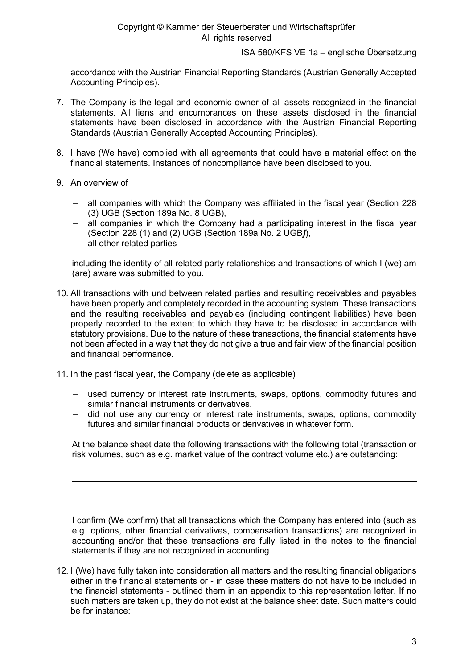accordance with the Austrian Financial Reporting Standards (Austrian Generally Accepted Accounting Principles).

- 7. The Company is the legal and economic owner of all assets recognized in the financial statements. All liens and encumbrances on these assets disclosed in the financial statements have been disclosed in accordance with the Austrian Financial Reporting Standards (Austrian Generally Accepted Accounting Principles).
- 8. I have (We have) complied with all agreements that could have a material effect on the financial statements. Instances of noncompliance have been disclosed to you.
- 9. An overview of
	- all companies with which the Company was affiliated in the fiscal year (Section 228 (3) UGB (Section 189a No. 8 UGB),
	- all companies in which the Company had a participating interest in the fiscal year (Section 228 (1) and (2) UGB (Section 189a No. 2 UGB*]*),
	- all other related parties

including the identity of all related party relationships and transactions of which I (we) am (are) aware was submitted to you.

- 10. All transactions with und between related parties and resulting receivables and payables have been properly and completely recorded in the accounting system. These transactions and the resulting receivables and payables (including contingent liabilities) have been properly recorded to the extent to which they have to be disclosed in accordance with statutory provisions. Due to the nature of these transactions, the financial statements have not been affected in a way that they do not give a true and fair view of the financial position and financial performance.
- 11. In the past fiscal year, the Company (delete as applicable)
	- used currency or interest rate instruments, swaps, options, commodity futures and similar financial instruments or derivatives.
	- did not use any currency or interest rate instruments, swaps, options, commodity futures and similar financial products or derivatives in whatever form.

At the balance sheet date the following transactions with the following total (transaction or risk volumes, such as e.g. market value of the contract volume etc.) are outstanding:

I confirm (We confirm) that all transactions which the Company has entered into (such as e.g. options, other financial derivatives, compensation transactions) are recognized in accounting and/or that these transactions are fully listed in the notes to the financial statements if they are not recognized in accounting.

12. I (We) have fully taken into consideration all matters and the resulting financial obligations either in the financial statements or - in case these matters do not have to be included in the financial statements - outlined them in an appendix to this representation letter. If no such matters are taken up, they do not exist at the balance sheet date. Such matters could be for instance: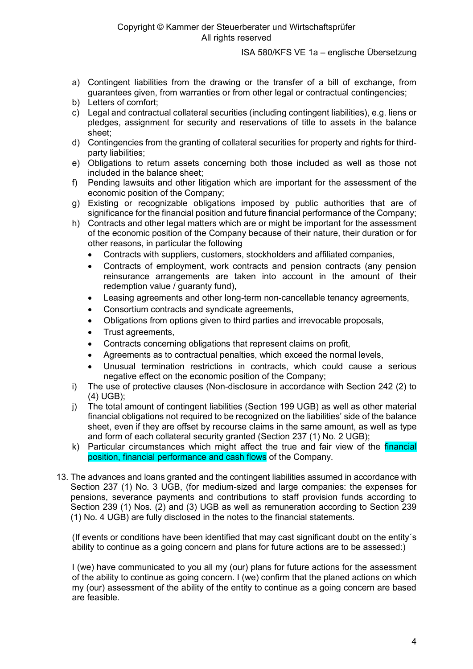- a) Contingent liabilities from the drawing or the transfer of a bill of exchange, from guarantees given, from warranties or from other legal or contractual contingencies;
- b) Letters of comfort;
- c) Legal and contractual collateral securities (including contingent liabilities), e.g. liens or pledges, assignment for security and reservations of title to assets in the balance sheet;
- d) Contingencies from the granting of collateral securities for property and rights for thirdparty liabilities;
- e) Obligations to return assets concerning both those included as well as those not included in the balance sheet;
- f) Pending lawsuits and other litigation which are important for the assessment of the economic position of the Company;
- g) Existing or recognizable obligations imposed by public authorities that are of significance for the financial position and future financial performance of the Company;
- h) Contracts and other legal matters which are or might be important for the assessment of the economic position of the Company because of their nature, their duration or for other reasons, in particular the following
	- Contracts with suppliers, customers, stockholders and affiliated companies,
	- Contracts of employment, work contracts and pension contracts (any pension reinsurance arrangements are taken into account in the amount of their redemption value / guaranty fund),
	- Leasing agreements and other long-term non-cancellable tenancy agreements,
	- Consortium contracts and syndicate agreements,
	- Obligations from options given to third parties and irrevocable proposals,
	- Trust agreements,
	- Contracts concerning obligations that represent claims on profit,
	- Agreements as to contractual penalties, which exceed the normal levels,
	- Unusual termination restrictions in contracts, which could cause a serious negative effect on the economic position of the Company;
- i) The use of protective clauses (Non-disclosure in accordance with Section 242 (2) to (4) UGB);
- j) The total amount of contingent liabilities (Section 199 UGB) as well as other material financial obligations not required to be recognized on the liabilities' side of the balance sheet, even if they are offset by recourse claims in the same amount, as well as type and form of each collateral security granted (Section 237 (1) No. 2 UGB);
- k) Particular circumstances which might affect the true and fair view of the *financial* position, financial performance and cash flows of the Company.
- 13. The advances and loans granted and the contingent liabilities assumed in accordance with Section 237 (1) No. 3 UGB, (for medium-sized and large companies: the expenses for pensions, severance payments and contributions to staff provision funds according to Section 239 (1) Nos. (2) and (3) UGB as well as remuneration according to Section 239 (1) No. 4 UGB) are fully disclosed in the notes to the financial statements.

(If events or conditions have been identified that may cast significant doubt on the entity´s ability to continue as a going concern and plans for future actions are to be assessed:)

I (we) have communicated to you all my (our) plans for future actions for the assessment of the ability to continue as going concern. I (we) confirm that the planed actions on which my (our) assessment of the ability of the entity to continue as a going concern are based are feasible.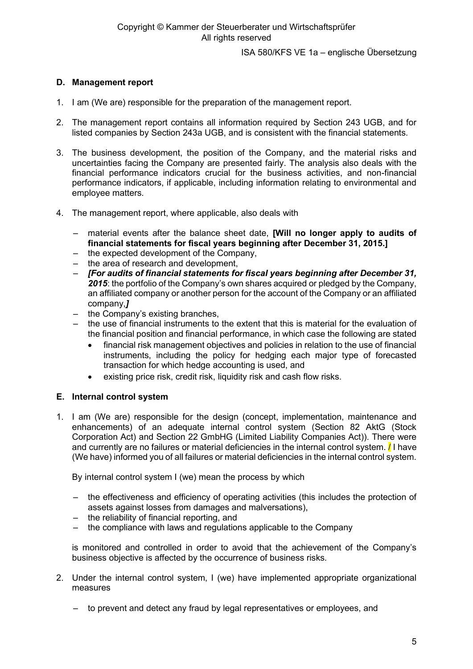# **D. Management report**

- 1. I am (We are) responsible for the preparation of the management report.
- 2. The management report contains all information required by Section 243 UGB, and for listed companies by Section 243a UGB, and is consistent with the financial statements.
- 3. The business development, the position of the Company, and the material risks and uncertainties facing the Company are presented fairly. The analysis also deals with the financial performance indicators crucial for the business activities, and non-financial performance indicators, if applicable, including information relating to environmental and employee matters.
- 4. The management report, where applicable, also deals with
	- material events after the balance sheet date, **[Will no longer apply to audits of financial statements for fiscal years beginning after December 31, 2015.]**
	- the expected development of the Company,
	- the area of research and development,
	- *[For audits of financial statements for fiscal years beginning after December 31, 2015*: the portfolio of the Company's own shares acquired or pledged by the Company, an affiliated company or another person for the account of the Company or an affiliated company,*]*
	- the Company's existing branches,
	- the use of financial instruments to the extent that this is material for the evaluation of the financial position and financial performance, in which case the following are stated
		- financial risk management objectives and policies in relation to the use of financial instruments, including the policy for hedging each major type of forecasted transaction for which hedge accounting is used, and
		- existing price risk, credit risk, liquidity risk and cash flow risks.

#### **E. Internal control system**

1. I am (We are) responsible for the design (concept, implementation, maintenance and enhancements) of an adequate internal control system (Section 82 AktG (Stock Corporation Act) and Section 22 GmbHG (Limited Liability Companies Act)). There were and currently are no failures or material deficiencies in the internal control system. **/** I have (We have) informed you of all failures or material deficiencies in the internal control system.

By internal control system I (we) mean the process by which

- the effectiveness and efficiency of operating activities (this includes the protection of assets against losses from damages and malversations),
- the reliability of financial reporting, and
- the compliance with laws and regulations applicable to the Company

is monitored and controlled in order to avoid that the achievement of the Company's business objective is affected by the occurrence of business risks.

- 2. Under the internal control system, I (we) have implemented appropriate organizational measures
	- to prevent and detect any fraud by legal representatives or employees, and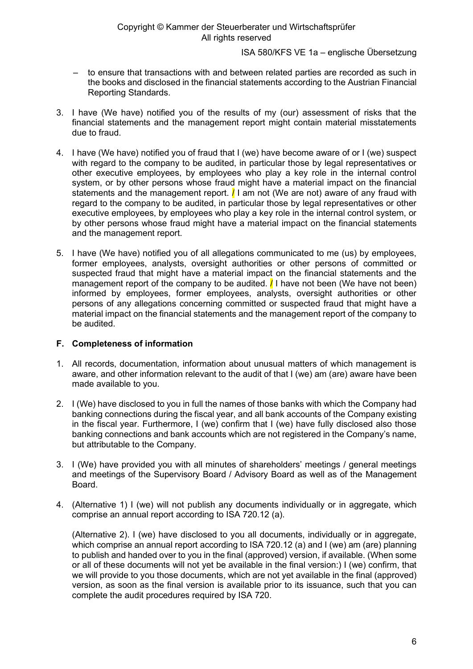## Copyright © Kammer der Steuerberater und Wirtschaftsprüfer All rights reserved

ISA 580/KFS VE 1a – englische Übersetzung

- to ensure that transactions with and between related parties are recorded as such in the books and disclosed in the financial statements according to the Austrian Financial Reporting Standards.
- 3. I have (We have) notified you of the results of my (our) assessment of risks that the financial statements and the management report might contain material misstatements due to fraud.
- 4. I have (We have) notified you of fraud that I (we) have become aware of or I (we) suspect with regard to the company to be audited, in particular those by legal representatives or other executive employees, by employees who play a key role in the internal control system, or by other persons whose fraud might have a material impact on the financial statements and the management report.  $\frac{1}{1}$  am not (We are not) aware of any fraud with regard to the company to be audited, in particular those by legal representatives or other executive employees, by employees who play a key role in the internal control system, or by other persons whose fraud might have a material impact on the financial statements and the management report.
- 5. I have (We have) notified you of all allegations communicated to me (us) by employees, former employees, analysts, oversight authorities or other persons of committed or suspected fraud that might have a material impact on the financial statements and the management report of the company to be audited.  $\ell$  I have not been (We have not been) informed by employees, former employees, analysts, oversight authorities or other persons of any allegations concerning committed or suspected fraud that might have a material impact on the financial statements and the management report of the company to be audited.

# **F. Completeness of information**

- 1. All records, documentation, information about unusual matters of which management is aware, and other information relevant to the audit of that I (we) am (are) aware have been made available to you.
- 2. I (We) have disclosed to you in full the names of those banks with which the Company had banking connections during the fiscal year, and all bank accounts of the Company existing in the fiscal year. Furthermore, I (we) confirm that I (we) have fully disclosed also those banking connections and bank accounts which are not registered in the Company's name, but attributable to the Company.
- 3. I (We) have provided you with all minutes of shareholders' meetings / general meetings and meetings of the Supervisory Board / Advisory Board as well as of the Management Board.
- 4. (Alternative 1) I (we) will not publish any documents individually or in aggregate, which comprise an annual report according to ISA 720.12 (a).

(Alternative 2). I (we) have disclosed to you all documents, individually or in aggregate, which comprise an annual report according to ISA 720.12 (a) and I (we) am (are) planning to publish and handed over to you in the final (approved) version, if available. (When some or all of these documents will not yet be available in the final version:) I (we) confirm, that we will provide to you those documents, which are not yet available in the final (approved) version, as soon as the final version is available prior to its issuance, such that you can complete the audit procedures required by ISA 720.